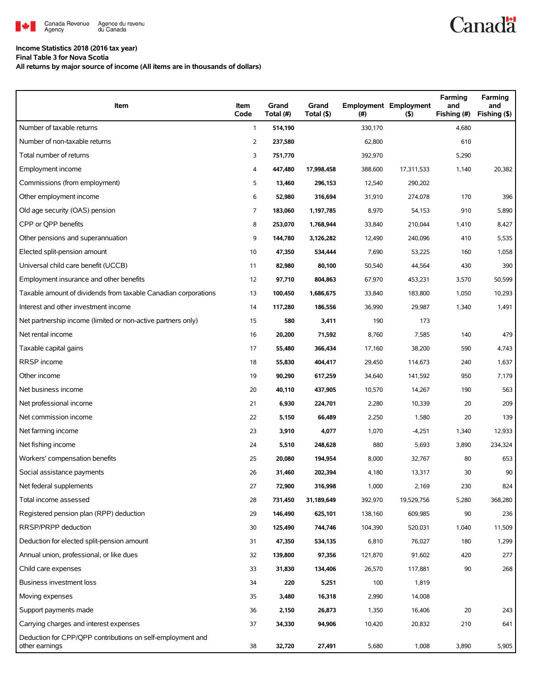

## **Income Statistics 2018 (2016 tax year)**

**Final Table 3 for Nova Scotia**

**All returns by major source of income (All items are in thousands of dollars)**

| Item                                                                         | Item<br>Code   | Grand<br>Total (#) | Grand<br>Total (\$) | (#)     | <b>Employment Employment</b><br>(5) | Farming<br>and<br>Fishing (#) | Farming<br>and<br>Fishing (\$) |
|------------------------------------------------------------------------------|----------------|--------------------|---------------------|---------|-------------------------------------|-------------------------------|--------------------------------|
| Number of taxable returns                                                    | $\mathbf{1}$   | 514,190            |                     | 330,170 |                                     | 4,680                         |                                |
| Number of non-taxable returns                                                | $\overline{2}$ | 237,580            |                     | 62,800  |                                     | 610                           |                                |
| Total number of returns                                                      | 3              | 751,770            |                     | 392,970 |                                     | 5,290                         |                                |
| Employment income                                                            | 4              | 447,480            | 17,998,458          | 388,600 | 17,311,533                          | 1,140                         | 20,382                         |
| Commissions (from employment)                                                | 5              | 13,460             | 296,153             | 12,540  | 290,202                             |                               |                                |
| Other employment income                                                      | 6              | 52,980             | 316,694             | 31,910  | 274,078                             | 170                           | 396                            |
| Old age security (OAS) pension                                               | 7              | 183,060            | 1,197,785           | 8,970   | 54,153                              | 910                           | 5,890                          |
| CPP or QPP benefits                                                          | 8              | 253,070            | 1,768,944           | 33,840  | 210,044                             | 1,410                         | 8,427                          |
| Other pensions and superannuation                                            | 9              | 144,780            | 3,126,282           | 12,490  | 240,096                             | 410                           | 5,535                          |
| Elected split-pension amount                                                 | 10             | 47,350             | 534,444             | 7,690   | 53,225                              | 160                           | 1,058                          |
| Universal child care benefit (UCCB)                                          | 11             | 82,980             | 80,100              | 50,540  | 44,564                              | 430                           | 390                            |
| Employment insurance and other benefits                                      | 12             | 97,710             | 804,863             | 67,970  | 453,231                             | 3,570                         | 50,599                         |
| Taxable amount of dividends from taxable Canadian corporations               | 13             | 100,450            | 1,686,675           | 33,840  | 183,800                             | 1,050                         | 10,293                         |
| Interest and other investment income                                         | 14             | 117,280            | 186,556             | 36,990  | 29,987                              | 1,340                         | 1,491                          |
| Net partnership income (limited or non-active partners only)                 | 15             | 580                | 3,411               | 190     | 173                                 |                               |                                |
| Net rental income                                                            | 16             | 20,200             | 71,592              | 8,760   | 7,585                               | 140                           | 479                            |
| Taxable capital gains                                                        | 17             | 55,480             | 366,434             | 17,160  | 38,200                              | 590                           | 4,743                          |
| <b>RRSP</b> income                                                           | 18             | 55,830             | 404,417             | 29,450  | 114,673                             | 240                           | 1,637                          |
| Other income                                                                 | 19             | 90,290             | 617,259             | 34,640  | 141,592                             | 950                           | 7,179                          |
| Net business income                                                          | 20             | 40,110             | 437,905             | 10,570  | 14,267                              | 190                           | 563                            |
| Net professional income                                                      | 21             | 6,930              | 224,701             | 2,280   | 10,339                              | 20                            | 209                            |
| Net commission income                                                        | 22             | 5,150              | 66,489              | 2,250   | 1,580                               | 20                            | 139                            |
| Net farming income                                                           | 23             | 3,910              | 4,077               | 1,070   | $-4,251$                            | 1,340                         | 12,933                         |
| Net fishing income                                                           | 24             | 5,510              | 248,628             | 880     | 5,693                               | 3,890                         | 234,324                        |
| Workers' compensation benefits                                               | 25             | 20,080             | 194,954             | 8,000   | 32,767                              | 80                            | 653                            |
| Social assistance payments                                                   | 26             | 31,460             | 202,394             | 4,180   | 13,317                              | 30                            | 90                             |
| Net federal supplements                                                      | 27             | 72,900             | 316,998             | 1,000   | 2,169                               | 230                           | 824                            |
| Total income assessed                                                        | 28             | 731,450            | 31,189,649          | 392,970 | 19,529,756                          | 5,280                         | 368,280                        |
| Registered pension plan (RPP) deduction                                      | 29             | 146,490            | 625,101             | 138,160 | 609,985                             | 90                            | 236                            |
| RRSP/PRPP deduction                                                          | 30             | 125,490            | 744,746             | 104,390 | 520,031                             | 1,040                         | 11,509                         |
| Deduction for elected split-pension amount                                   | 31             | 47,350             | 534,135             | 6,810   | 76,027                              | 180                           | 1,299                          |
| Annual union, professional, or like dues                                     | 32             | 139,800            | 97,356              | 121,870 | 91,602                              | 420                           | 277                            |
| Child care expenses                                                          | 33             | 31,830             | 134,406             | 26,570  | 117,881                             | 90                            | 268                            |
| <b>Business investment loss</b>                                              | 34             | 220                | 5,251               | 100     | 1,819                               |                               |                                |
| Moving expenses                                                              | 35             | 3,480              | 16,318              | 2,990   | 14,008                              |                               |                                |
| Support payments made                                                        | 36             | 2,150              | 26,873              | 1,350   | 16,406                              | 20                            | 243                            |
| Carrying charges and interest expenses                                       | 37             | 34,330             | 94,906              | 10,420  | 20,832                              | 210                           | 641                            |
| Deduction for CPP/QPP contributions on self-employment and<br>other earnings | 38             | 32,720             | 27,491              | 5,680   | 1,008                               | 3,890                         | 5,905                          |

**Canadä**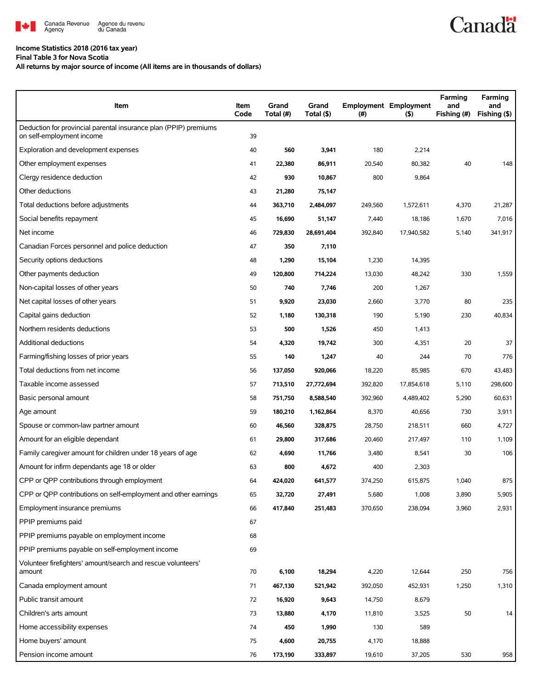

## **Income Statistics 2018 (2016 tax year)**

**Final Table 3 for Nova Scotia**

**All returns by major source of income (All items are in thousands of dollars)**

| Item                                                                                          | Item<br>Code | Grand<br>Total (#) | Grand<br>Total (\$) | (#)     | <b>Employment Employment</b><br>$($ \$) | Farming<br>and<br>Fishing (#) | Farming<br>and<br>Fishing (\$) |
|-----------------------------------------------------------------------------------------------|--------------|--------------------|---------------------|---------|-----------------------------------------|-------------------------------|--------------------------------|
| Deduction for provincial parental insurance plan (PPIP) premiums<br>on self-employment income | 39           |                    |                     |         |                                         |                               |                                |
| Exploration and development expenses                                                          | 40           | 560                | 3,941               | 180     | 2,214                                   |                               |                                |
| Other employment expenses                                                                     | 41           | 22,380             | 86,911              | 20,540  | 80,382                                  | 40                            | 148                            |
| Clergy residence deduction                                                                    | 42           | 930                | 10,867              | 800     | 9,864                                   |                               |                                |
| Other deductions                                                                              | 43           | 21,280             | 75,147              |         |                                         |                               |                                |
| Total deductions before adjustments                                                           | 44           | 363,710            | 2,484,097           | 249,560 | 1,572,611                               | 4,370                         | 21,287                         |
| Social benefits repayment                                                                     | 45           | 16,690             | 51,147              | 7,440   | 18,186                                  | 1,670                         | 7,016                          |
| Net income                                                                                    | 46           | 729,830            | 28,691,404          | 392,840 | 17,940,582                              | 5,140                         | 341,917                        |
| Canadian Forces personnel and police deduction                                                | 47           | 350                | 7,110               |         |                                         |                               |                                |
| Security options deductions                                                                   | 48           | 1,290              | 15,104              | 1,230   | 14,395                                  |                               |                                |
| Other payments deduction                                                                      | 49           | 120,800            | 714,224             | 13,030  | 48,242                                  | 330                           | 1,559                          |
| Non-capital losses of other years                                                             | 50           | 740                | 7,746               | 200     | 1,267                                   |                               |                                |
| Net capital losses of other years                                                             | 51           | 9,920              | 23,030              | 2,660   | 3,770                                   | 80                            | 235                            |
| Capital gains deduction                                                                       | 52           | 1,180              | 130,318             | 190     | 5,190                                   | 230                           | 40,834                         |
| Northern residents deductions                                                                 | 53           | 500                | 1,526               | 450     | 1,413                                   |                               |                                |
| Additional deductions                                                                         | 54           | 4,320              | 19,742              | 300     | 4,351                                   | 20                            | 37                             |
| Farming/fishing losses of prior years                                                         | 55           | 140                | 1,247               | 40      | 244                                     | 70                            | 776                            |
| Total deductions from net income                                                              | 56           | 137,050            | 920,066             | 18,220  | 85,985                                  | 670                           | 43,483                         |
| Taxable income assessed                                                                       | 57           | 713,510            | 27,772,694          | 392,820 | 17,854,618                              | 5,110                         | 298,600                        |
| Basic personal amount                                                                         | 58           | 751,750            | 8,588,540           | 392,960 | 4,489,402                               | 5,290                         | 60,631                         |
| Age amount                                                                                    | 59           | 180,210            | 1,162,864           | 8,370   | 40,656                                  | 730                           | 3,911                          |
| Spouse or common-law partner amount                                                           | 60           | 46,560             | 328,875             | 28,750  | 218,511                                 | 660                           | 4,727                          |
| Amount for an eligible dependant                                                              | 61           | 29,800             | 317,686             | 20,460  | 217,497                                 | 110                           | 1,109                          |
| Family caregiver amount for children under 18 years of age                                    | 62           | 4,690              | 11,766              | 3,480   | 8,541                                   | 30                            | 106                            |
| Amount for infirm dependants age 18 or older                                                  | 63           | 800                | 4,672               | 400     | 2,303                                   |                               |                                |
| CPP or QPP contributions through employment                                                   | 64           | 424,020            | 641,577             | 374,250 | 615,875                                 | 1,040                         | 875                            |
| CPP or QPP contributions on self-employment and other earnings                                | 65           | 32,720             | 27,491              | 5,680   | 1,008                                   | 3,890                         | 5,905                          |
| Employment insurance premiums                                                                 | 66           | 417,840            | 251,483             | 370,650 | 238,094                                 | 3,960                         | 2,931                          |
| PPIP premiums paid                                                                            | 67           |                    |                     |         |                                         |                               |                                |
| PPIP premiums payable on employment income                                                    | 68           |                    |                     |         |                                         |                               |                                |
| PPIP premiums payable on self-employment income                                               | 69           |                    |                     |         |                                         |                               |                                |
| Volunteer firefighters' amount/search and rescue volunteers'<br>amount                        | 70           | 6,100              | 18,294              | 4,220   | 12,644                                  | 250                           | 756                            |
| Canada employment amount                                                                      | 71           | 467,130            | 521,942             | 392,050 | 452,931                                 | 1,250                         | 1,310                          |
| Public transit amount                                                                         | 72           | 16,920             | 9,643               | 14,750  | 8,679                                   |                               |                                |
| Children's arts amount                                                                        | 73           | 13,880             | 4,170               | 11,810  | 3,525                                   | 50                            | 14                             |
| Home accessibility expenses                                                                   | 74           | 450                | 1,990               | 130     | 589                                     |                               |                                |
| Home buyers' amount                                                                           | 75           | 4,600              | 20,755              | 4,170   | 18,888                                  |                               |                                |
| Pension income amount                                                                         | 76           | 173,190            | 333,897             | 19,610  | 37,205                                  | 530                           | 958                            |

**Canadä**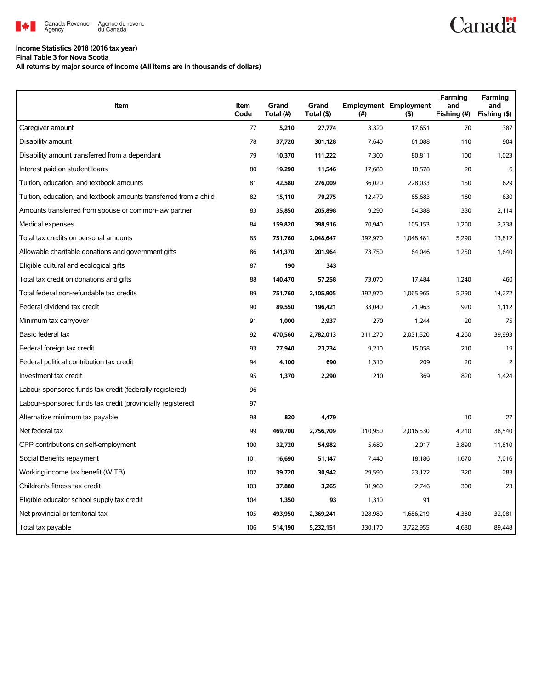

## **Income Statistics 2018 (2016 tax year)**

**Final Table 3 for Nova Scotia**

**All returns by major source of income (All items are in thousands of dollars)**

| Item                                                              | Item<br>Code | Grand<br>Total (#) | Grand<br>Total (\$) | (#)     | <b>Employment Employment</b><br>(5) | Farming<br>and<br>Fishing (#) | Farming<br>and<br>Fishing (\$) |
|-------------------------------------------------------------------|--------------|--------------------|---------------------|---------|-------------------------------------|-------------------------------|--------------------------------|
| Caregiver amount                                                  | 77           | 5,210              | 27,774              | 3,320   | 17,651                              | 70                            | 387                            |
| Disability amount                                                 | 78           | 37,720             | 301,128             | 7,640   | 61,088                              | 110                           | 904                            |
| Disability amount transferred from a dependant                    | 79           | 10,370             | 111,222             | 7,300   | 80,811                              | 100                           | 1,023                          |
| Interest paid on student loans                                    | 80           | 19,290             | 11,546              | 17,680  | 10,578                              | 20                            | 6                              |
| Tuition, education, and textbook amounts                          | 81           | 42,580             | 276,009             | 36,020  | 228,033                             | 150                           | 629                            |
| Tuition, education, and textbook amounts transferred from a child | 82           | 15,110             | 79,275              | 12,470  | 65,683                              | 160                           | 830                            |
| Amounts transferred from spouse or common-law partner             | 83           | 35,850             | 205,898             | 9,290   | 54,388                              | 330                           | 2,114                          |
| Medical expenses                                                  | 84           | 159,820            | 398,916             | 70,940  | 105,153                             | 1,200                         | 2,738                          |
| Total tax credits on personal amounts                             | 85           | 751,760            | 2,048,647           | 392,970 | 1,048,481                           | 5,290                         | 13,812                         |
| Allowable charitable donations and government gifts               | 86           | 141,370            | 201,964             | 73,750  | 64,046                              | 1,250                         | 1,640                          |
| Eligible cultural and ecological gifts                            | 87           | 190                | 343                 |         |                                     |                               |                                |
| Total tax credit on donations and gifts                           | 88           | 140,470            | 57,258              | 73,070  | 17,484                              | 1,240                         | 460                            |
| Total federal non-refundable tax credits                          | 89           | 751,760            | 2,105,905           | 392,970 | 1,065,965                           | 5,290                         | 14,272                         |
| Federal dividend tax credit                                       | 90           | 89,550             | 196,421             | 33,040  | 21,963                              | 920                           | 1,112                          |
| Minimum tax carryover                                             | 91           | 1,000              | 2,937               | 270     | 1,244                               | 20                            | 75                             |
| Basic federal tax                                                 | 92           | 470,560            | 2,782,013           | 311,270 | 2,031,520                           | 4,260                         | 39,993                         |
| Federal foreign tax credit                                        | 93           | 27,940             | 23,234              | 9,210   | 15,058                              | 210                           | 19                             |
| Federal political contribution tax credit                         | 94           | 4,100              | 690                 | 1,310   | 209                                 | 20                            | $\overline{2}$                 |
| Investment tax credit                                             | 95           | 1,370              | 2,290               | 210     | 369                                 | 820                           | 1,424                          |
| Labour-sponsored funds tax credit (federally registered)          | 96           |                    |                     |         |                                     |                               |                                |
| Labour-sponsored funds tax credit (provincially registered)       | 97           |                    |                     |         |                                     |                               |                                |
| Alternative minimum tax payable                                   | 98           | 820                | 4,479               |         |                                     | 10                            | 27                             |
| Net federal tax                                                   | 99           | 469,700            | 2,756,709           | 310,950 | 2,016,530                           | 4,210                         | 38,540                         |
| CPP contributions on self-employment                              | 100          | 32,720             | 54,982              | 5,680   | 2,017                               | 3,890                         | 11,810                         |
| Social Benefits repayment                                         | 101          | 16,690             | 51,147              | 7,440   | 18,186                              | 1,670                         | 7,016                          |
| Working income tax benefit (WITB)                                 | 102          | 39,720             | 30,942              | 29,590  | 23,122                              | 320                           | 283                            |
| Children's fitness tax credit                                     | 103          | 37,880             | 3,265               | 31,960  | 2,746                               | 300                           | 23                             |
| Eligible educator school supply tax credit                        | 104          | 1,350              | 93                  | 1,310   | 91                                  |                               |                                |
| Net provincial or territorial tax                                 | 105          | 493,950            | 2,369,241           | 328,980 | 1,686,219                           | 4,380                         | 32,081                         |
| Total tax payable                                                 | 106          | 514,190            | 5,232,151           | 330,170 | 3,722,955                           | 4,680                         | 89,448                         |

**Canadä**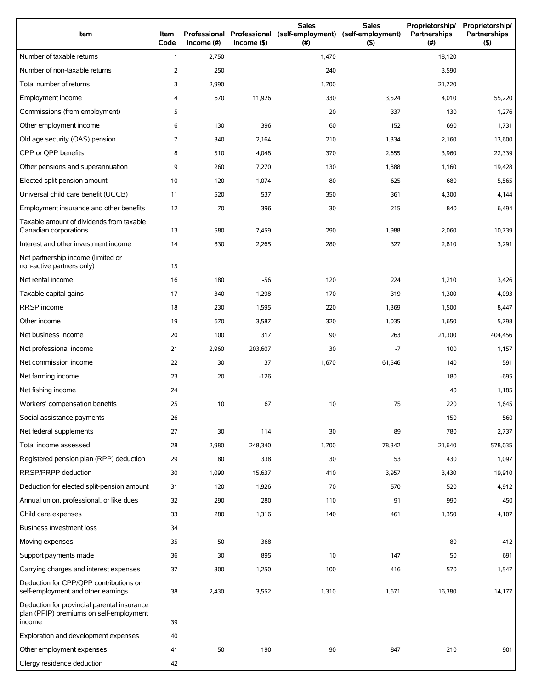| Item                                                                                             | Item<br>Code   | Income (#) | $Income($ \$) | <b>Sales</b><br>Professional Professional (self-employment)<br>(# ) | <b>Sales</b><br>(self-employment)<br>(5) | Proprietorship/<br>Partnerships<br>(#) | Proprietorship/<br>Partnerships<br>(5) |
|--------------------------------------------------------------------------------------------------|----------------|------------|---------------|---------------------------------------------------------------------|------------------------------------------|----------------------------------------|----------------------------------------|
| Number of taxable returns                                                                        | $\mathbf{1}$   | 2,750      |               | 1,470                                                               |                                          | 18,120                                 |                                        |
| Number of non-taxable returns                                                                    | $\overline{2}$ | 250        |               | 240                                                                 |                                          | 3,590                                  |                                        |
| Total number of returns                                                                          | 3              | 2,990      |               | 1,700                                                               |                                          | 21,720                                 |                                        |
| Employment income                                                                                | 4              | 670        | 11,926        | 330                                                                 | 3,524                                    | 4,010                                  | 55,220                                 |
| Commissions (from employment)                                                                    | 5              |            |               | 20                                                                  | 337                                      | 130                                    | 1,276                                  |
| Other employment income                                                                          | 6              | 130        | 396           | 60                                                                  | 152                                      | 690                                    | 1,731                                  |
| Old age security (OAS) pension                                                                   | 7              | 340        | 2,164         | 210                                                                 | 1,334                                    | 2,160                                  | 13,600                                 |
| CPP or QPP benefits                                                                              | 8              | 510        | 4,048         | 370                                                                 | 2,655                                    | 3,960                                  | 22,339                                 |
| Other pensions and superannuation                                                                | 9              | 260        | 7,270         | 130                                                                 | 1,888                                    | 1,160                                  | 19,428                                 |
| Elected split-pension amount                                                                     | 10             | 120        | 1,074         | 80                                                                  | 625                                      | 680                                    | 5,565                                  |
| Universal child care benefit (UCCB)                                                              | 11             | 520        | 537           | 350                                                                 | 361                                      | 4,300                                  | 4,144                                  |
| Employment insurance and other benefits                                                          | 12             | 70         | 396           | 30                                                                  | 215                                      | 840                                    | 6,494                                  |
| Taxable amount of dividends from taxable<br>Canadian corporations                                | 13             | 580        | 7,459         | 290                                                                 | 1,988                                    | 2,060                                  | 10,739                                 |
| Interest and other investment income                                                             | 14             | 830        | 2,265         | 280                                                                 | 327                                      | 2,810                                  | 3,291                                  |
| Net partnership income (limited or<br>non-active partners only)                                  | 15             |            |               |                                                                     |                                          |                                        |                                        |
| Net rental income                                                                                | 16             | 180        | -56           | 120                                                                 | 224                                      | 1,210                                  | 3,426                                  |
| Taxable capital gains                                                                            | 17             | 340        | 1,298         | 170                                                                 | 319                                      | 1,300                                  | 4,093                                  |
| RRSP income                                                                                      | 18             | 230        | 1,595         | 220                                                                 | 1,369                                    | 1,500                                  | 8,447                                  |
| Other income                                                                                     | 19             | 670        | 3,587         | 320                                                                 | 1,035                                    | 1,650                                  | 5,798                                  |
| Net business income                                                                              | 20             | 100        | 317           | 90                                                                  | 263                                      | 21,300                                 | 404,456                                |
| Net professional income                                                                          | 21             | 2,960      | 203,607       | 30                                                                  | $-7$                                     | 100                                    | 1,157                                  |
| Net commission income                                                                            | 22             | 30         | 37            | 1,670                                                               | 61,546                                   | 140                                    | 591                                    |
| Net farming income                                                                               | 23             | 20         | $-126$        |                                                                     |                                          | 180                                    | $-695$                                 |
| Net fishing income                                                                               | 24             |            |               |                                                                     |                                          | 40                                     | 1,185                                  |
| Workers' compensation benefits                                                                   | 25             | 10         | 67            | 10                                                                  | 75                                       | 220                                    | 1,645                                  |
| Social assistance payments                                                                       | 26             |            |               |                                                                     |                                          | 150                                    | 560                                    |
| Net federal supplements                                                                          | 27             | 30         | 114           | 30                                                                  | 89                                       | 780                                    | 2,737                                  |
| Total income assessed                                                                            | 28             | 2,980      | 248,340       | 1,700                                                               | 78,342                                   | 21,640                                 | 578,035                                |
| Registered pension plan (RPP) deduction                                                          | 29             | 80         | 338           | 30                                                                  | 53                                       | 430                                    | 1,097                                  |
| RRSP/PRPP deduction                                                                              | 30             | 1,090      | 15,637        | 410                                                                 | 3,957                                    | 3,430                                  | 19,910                                 |
| Deduction for elected split-pension amount                                                       | 31             | 120        | 1,926         | 70                                                                  | 570                                      | 520                                    | 4,912                                  |
| Annual union, professional, or like dues                                                         | 32             | 290        | 280           | 110                                                                 | 91                                       | 990                                    | 450                                    |
| Child care expenses                                                                              | 33             | 280        | 1,316         | 140                                                                 | 461                                      | 1,350                                  | 4,107                                  |
| Business investment loss                                                                         | 34             |            |               |                                                                     |                                          |                                        |                                        |
| Moving expenses                                                                                  | 35             | 50         | 368           |                                                                     |                                          | 80                                     | 412                                    |
| Support payments made                                                                            | 36             | 30         | 895           | 10                                                                  | 147                                      | 50                                     | 691                                    |
| Carrying charges and interest expenses                                                           | 37             | 300        | 1,250         | 100                                                                 | 416                                      | 570                                    | 1,547                                  |
| Deduction for CPP/QPP contributions on<br>self-employment and other earnings                     | 38             | 2,430      | 3,552         | 1,310                                                               | 1,671                                    | 16,380                                 | 14,177                                 |
| Deduction for provincial parental insurance<br>plan (PPIP) premiums on self-employment<br>income | 39             |            |               |                                                                     |                                          |                                        |                                        |
| Exploration and development expenses                                                             | 40             |            |               |                                                                     |                                          |                                        |                                        |
| Other employment expenses                                                                        | 41             | 50         | 190           | 90                                                                  | 847                                      | 210                                    | 901                                    |
| Clergy residence deduction                                                                       | 42             |            |               |                                                                     |                                          |                                        |                                        |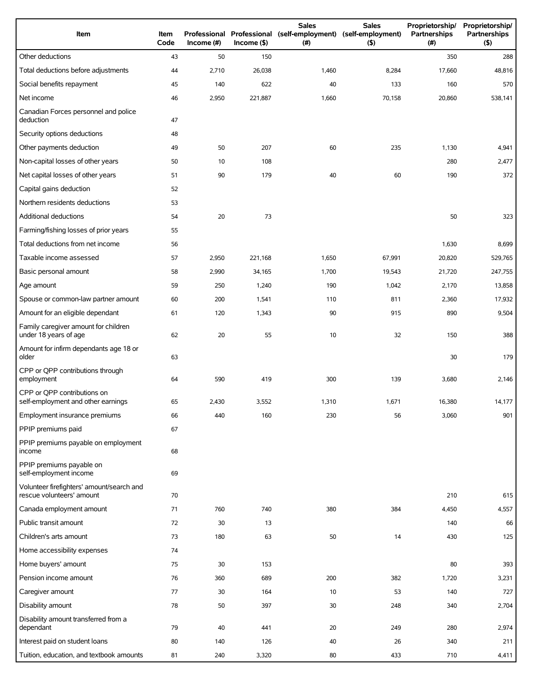| Item                                                                   | Item<br>Code | Income $(\#)$ | $Income($ \$) | <b>Sales</b><br>Professional Professional (self-employment) (self-employment)<br>(# ) | <b>Sales</b><br>(5) | Proprietorship/<br>Partnerships<br>(# ) | Proprietorship/<br>Partnerships<br>(5) |
|------------------------------------------------------------------------|--------------|---------------|---------------|---------------------------------------------------------------------------------------|---------------------|-----------------------------------------|----------------------------------------|
| Other deductions                                                       | 43           | 50            | 150           |                                                                                       |                     | 350                                     | 288                                    |
| Total deductions before adjustments                                    | 44           | 2,710         | 26,038        | 1,460                                                                                 | 8,284               | 17,660                                  | 48,816                                 |
| Social benefits repayment                                              | 45           | 140           | 622           | 40                                                                                    | 133                 | 160                                     | 570                                    |
| Net income                                                             | 46           | 2,950         | 221,887       | 1,660                                                                                 | 70,158              | 20,860                                  | 538,141                                |
| Canadian Forces personnel and police<br>deduction                      | 47           |               |               |                                                                                       |                     |                                         |                                        |
| Security options deductions                                            | 48           |               |               |                                                                                       |                     |                                         |                                        |
| Other payments deduction                                               | 49           | 50            | 207           | 60                                                                                    | 235                 | 1,130                                   | 4,941                                  |
| Non-capital losses of other years                                      | 50           | 10            | 108           |                                                                                       |                     | 280                                     | 2,477                                  |
| Net capital losses of other years                                      | 51           | 90            | 179           | 40                                                                                    | 60                  | 190                                     | 372                                    |
| Capital gains deduction                                                | 52           |               |               |                                                                                       |                     |                                         |                                        |
| Northern residents deductions                                          | 53           |               |               |                                                                                       |                     |                                         |                                        |
| Additional deductions                                                  | 54           | 20            | 73            |                                                                                       |                     | 50                                      | 323                                    |
| Farming/fishing losses of prior years                                  | 55           |               |               |                                                                                       |                     |                                         |                                        |
| Total deductions from net income                                       | 56           |               |               |                                                                                       |                     | 1,630                                   | 8,699                                  |
| Taxable income assessed                                                | 57           | 2,950         | 221,168       | 1,650                                                                                 | 67,991              | 20,820                                  | 529,765                                |
| Basic personal amount                                                  | 58           | 2,990         | 34,165        | 1,700                                                                                 | 19,543              | 21,720                                  | 247,755                                |
| Age amount                                                             | 59           | 250           | 1,240         | 190                                                                                   | 1,042               | 2,170                                   | 13,858                                 |
| Spouse or common-law partner amount                                    | 60           | 200           | 1,541         | 110                                                                                   | 811                 | 2,360                                   | 17,932                                 |
| Amount for an eligible dependant                                       | 61           | 120           | 1,343         | 90                                                                                    | 915                 | 890                                     | 9,504                                  |
| Family caregiver amount for children<br>under 18 years of age          | 62           | 20            | 55            | 10                                                                                    | 32                  | 150                                     | 388                                    |
| Amount for infirm dependants age 18 or<br>older                        | 63           |               |               |                                                                                       |                     | 30                                      | 179                                    |
| CPP or QPP contributions through<br>employment                         | 64           | 590           | 419           | 300                                                                                   | 139                 | 3,680                                   | 2,146                                  |
| CPP or OPP contributions on<br>self-employment and other earnings      | 65           | 2,430         | 3,552         | 1,310                                                                                 | 1,671               | 16,380                                  | 14,177                                 |
| Employment insurance premiums                                          | 66           | 440           | 160           | 230                                                                                   | 56                  | 3,060                                   | 901                                    |
| PPIP premiums paid                                                     | 67           |               |               |                                                                                       |                     |                                         |                                        |
| PPIP premiums payable on employment<br>income                          | 68           |               |               |                                                                                       |                     |                                         |                                        |
| PPIP premiums payable on<br>self-employment income                     | 69           |               |               |                                                                                       |                     |                                         |                                        |
| Volunteer firefighters' amount/search and<br>rescue volunteers' amount | 70           |               |               |                                                                                       |                     | 210                                     | 615                                    |
| Canada employment amount                                               | 71           | 760           | 740           | 380                                                                                   | 384                 | 4,450                                   | 4,557                                  |
| Public transit amount                                                  | 72           | 30            | 13            |                                                                                       |                     | 140                                     | 66                                     |
| Children's arts amount                                                 | 73           | 180           | 63            | 50                                                                                    | 14                  | 430                                     | 125                                    |
| Home accessibility expenses                                            | 74           |               |               |                                                                                       |                     |                                         |                                        |
| Home buyers' amount                                                    | 75           | 30            | 153           |                                                                                       |                     | 80                                      | 393                                    |
| Pension income amount                                                  | 76           | 360           | 689           | 200                                                                                   | 382                 | 1,720                                   | 3,231                                  |
| Caregiver amount                                                       | 77           | 30            | 164           | 10                                                                                    | 53                  | 140                                     | 727                                    |
| Disability amount                                                      | 78           | 50            | 397           | 30                                                                                    | 248                 | 340                                     | 2,704                                  |
| Disability amount transferred from a<br>dependant                      | 79           | 40            | 441           | 20                                                                                    | 249                 | 280                                     | 2,974                                  |
| Interest paid on student loans                                         | 80           | 140           | 126           | 40                                                                                    | 26                  | 340                                     | 211                                    |
| Tuition, education, and textbook amounts                               | 81           | 240           | 3,320         | 80                                                                                    | 433                 | 710                                     | 4,411                                  |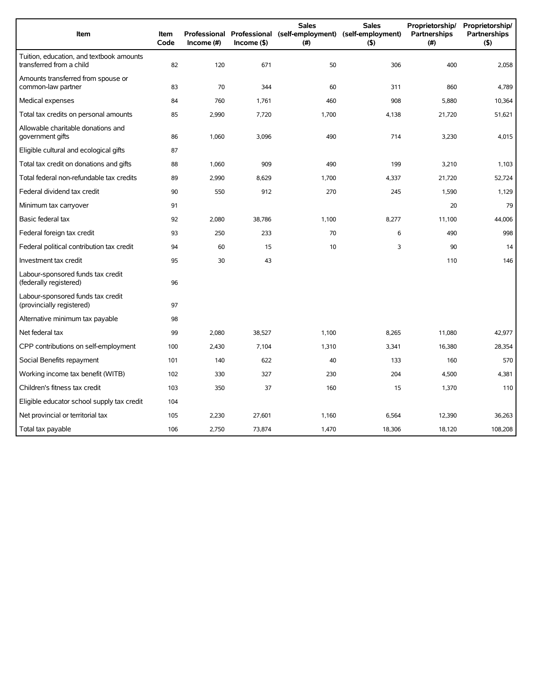| Item                                                                 | <b>Item</b><br>Code | Income (#) | $Income($ \$) | <b>Sales</b><br>Professional Professional (self-employment) (self-employment)<br>(#) | <b>Sales</b><br>$($ \$) | Proprietorship/<br>Partnerships<br>(# ) | Proprietorship/<br><b>Partnerships</b><br>(5) |
|----------------------------------------------------------------------|---------------------|------------|---------------|--------------------------------------------------------------------------------------|-------------------------|-----------------------------------------|-----------------------------------------------|
| Tuition, education, and textbook amounts<br>transferred from a child | 82                  | 120        | 671           | 50                                                                                   | 306                     | 400                                     | 2,058                                         |
| Amounts transferred from spouse or<br>common-law partner             | 83                  | 70         | 344           | 60                                                                                   | 311                     | 860                                     | 4,789                                         |
| Medical expenses                                                     | 84                  | 760        | 1,761         | 460                                                                                  | 908                     | 5,880                                   | 10,364                                        |
| Total tax credits on personal amounts                                | 85                  | 2,990      | 7,720         | 1,700                                                                                | 4,138                   | 21,720                                  | 51,621                                        |
| Allowable charitable donations and<br>government gifts               | 86                  | 1,060      | 3,096         | 490                                                                                  | 714                     | 3,230                                   | 4,015                                         |
| Eligible cultural and ecological gifts                               | 87                  |            |               |                                                                                      |                         |                                         |                                               |
| Total tax credit on donations and gifts                              | 88                  | 1,060      | 909           | 490                                                                                  | 199                     | 3,210                                   | 1,103                                         |
| Total federal non-refundable tax credits                             | 89                  | 2,990      | 8,629         | 1,700                                                                                | 4,337                   | 21,720                                  | 52,724                                        |
| Federal dividend tax credit                                          | 90                  | 550        | 912           | 270                                                                                  | 245                     | 1,590                                   | 1,129                                         |
| Minimum tax carryover                                                | 91                  |            |               |                                                                                      |                         | 20                                      | 79                                            |
| Basic federal tax                                                    | 92                  | 2,080      | 38,786        | 1,100                                                                                | 8,277                   | 11,100                                  | 44,006                                        |
| Federal foreign tax credit                                           | 93                  | 250        | 233           | 70                                                                                   | 6                       | 490                                     | 998                                           |
| Federal political contribution tax credit                            | 94                  | 60         | 15            | 10                                                                                   | 3                       | 90                                      | 14                                            |
| Investment tax credit                                                | 95                  | 30         | 43            |                                                                                      |                         | 110                                     | 146                                           |
| Labour-sponsored funds tax credit<br>(federally registered)          | 96                  |            |               |                                                                                      |                         |                                         |                                               |
| Labour-sponsored funds tax credit<br>(provincially registered)       | 97                  |            |               |                                                                                      |                         |                                         |                                               |
| Alternative minimum tax payable                                      | 98                  |            |               |                                                                                      |                         |                                         |                                               |
| Net federal tax                                                      | 99                  | 2,080      | 38,527        | 1,100                                                                                | 8,265                   | 11,080                                  | 42,977                                        |
| CPP contributions on self-employment                                 | 100                 | 2,430      | 7,104         | 1,310                                                                                | 3,341                   | 16,380                                  | 28,354                                        |
| Social Benefits repayment                                            | 101                 | 140        | 622           | 40                                                                                   | 133                     | 160                                     | 570                                           |
| Working income tax benefit (WITB)                                    | 102                 | 330        | 327           | 230                                                                                  | 204                     | 4,500                                   | 4,381                                         |
| Children's fitness tax credit                                        | 103                 | 350        | 37            | 160                                                                                  | 15                      | 1,370                                   | 110                                           |
| Eligible educator school supply tax credit                           | 104                 |            |               |                                                                                      |                         |                                         |                                               |
| Net provincial or territorial tax                                    | 105                 | 2,230      | 27,601        | 1,160                                                                                | 6,564                   | 12,390                                  | 36,263                                        |
| Total tax payable                                                    | 106                 | 2,750      | 73,874        | 1,470                                                                                | 18,306                  | 18,120                                  | 108,208                                       |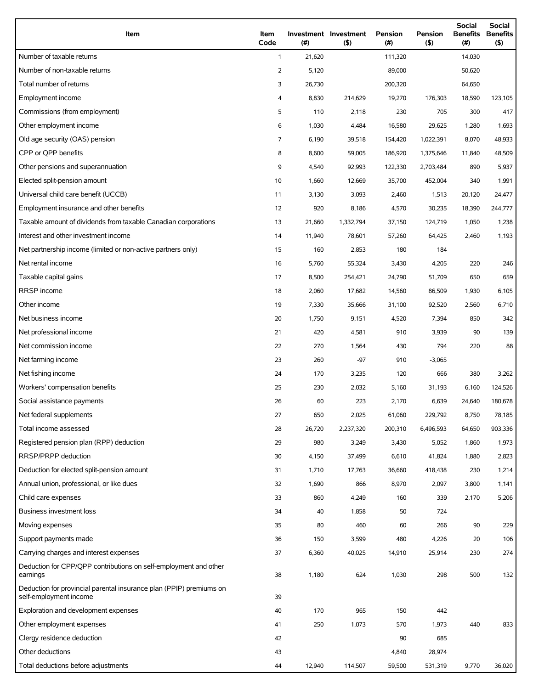| Item                                                                                          | Item<br>Code   | (#)    | Investment Investment<br>$($ \$) | <b>Pension</b><br>(# ) | Pension<br>$($ \$) | Social<br><b>Benefits</b><br>(#) | Social<br><b>Benefits</b><br>$($ \$) |
|-----------------------------------------------------------------------------------------------|----------------|--------|----------------------------------|------------------------|--------------------|----------------------------------|--------------------------------------|
| Number of taxable returns                                                                     | $\mathbf{1}$   | 21,620 |                                  | 111,320                |                    | 14,030                           |                                      |
| Number of non-taxable returns                                                                 | $\overline{2}$ | 5,120  |                                  | 89,000                 |                    | 50,620                           |                                      |
| Total number of returns                                                                       | 3              | 26,730 |                                  | 200,320                |                    | 64,650                           |                                      |
| Employment income                                                                             | 4              | 8,830  | 214,629                          | 19,270                 | 176,303            | 18,590                           | 123,105                              |
| Commissions (from employment)                                                                 | 5              | 110    | 2,118                            | 230                    | 705                | 300                              | 417                                  |
| Other employment income                                                                       | 6              | 1,030  | 4,484                            | 16,580                 | 29,625             | 1,280                            | 1,693                                |
| Old age security (OAS) pension                                                                | $\overline{7}$ | 6,190  | 39,518                           | 154,420                | 1,022,391          | 8,070                            | 48,933                               |
| CPP or OPP benefits                                                                           | 8              | 8,600  | 59,005                           | 186,920                | 1,375,646          | 11,840                           | 48,509                               |
| Other pensions and superannuation                                                             | 9              | 4,540  | 92,993                           | 122,330                | 2,703,484          | 890                              | 5,937                                |
| Elected split-pension amount                                                                  | 10             | 1,660  | 12,669                           | 35,700                 | 452,004            | 340                              | 1,991                                |
| Universal child care benefit (UCCB)                                                           | 11             | 3,130  | 3,093                            | 2,460                  | 1,513              | 20,120                           | 24,477                               |
| Employment insurance and other benefits                                                       | 12             | 920    | 8,186                            | 4,570                  | 30,235             | 18,390                           | 244,777                              |
| Taxable amount of dividends from taxable Canadian corporations                                | 13             | 21,660 | 1,332,794                        | 37,150                 | 124,719            | 1,050                            | 1,238                                |
| Interest and other investment income                                                          | 14             | 11,940 | 78,601                           | 57,260                 | 64,425             | 2,460                            | 1,193                                |
| Net partnership income (limited or non-active partners only)                                  | 15             | 160    | 2,853                            | 180                    | 184                |                                  |                                      |
| Net rental income                                                                             | 16             | 5,760  | 55,324                           | 3,430                  | 4,205              | 220                              | 246                                  |
| Taxable capital gains                                                                         | 17             | 8,500  | 254,421                          | 24,790                 | 51,709             | 650                              | 659                                  |
| RRSP income                                                                                   | 18             | 2,060  | 17,682                           | 14,560                 | 86,509             | 1,930                            | 6,105                                |
| Other income                                                                                  | 19             | 7,330  | 35,666                           | 31,100                 | 92,520             | 2,560                            | 6,710                                |
| Net business income                                                                           | 20             | 1,750  | 9,151                            | 4,520                  | 7,394              | 850                              | 342                                  |
| Net professional income                                                                       | 21             | 420    | 4,581                            | 910                    | 3,939              | 90                               | 139                                  |
| Net commission income                                                                         | 22             | 270    | 1,564                            | 430                    | 794                | 220                              | 88                                   |
| Net farming income                                                                            | 23             | 260    | $-97$                            | 910                    | $-3,065$           |                                  |                                      |
| Net fishing income                                                                            | 24             | 170    | 3,235                            | 120                    | 666                | 380                              | 3,262                                |
| Workers' compensation benefits                                                                | 25             | 230    | 2,032                            | 5,160                  | 31,193             | 6,160                            | 124,526                              |
| Social assistance payments                                                                    | 26             | 60     | 223                              | 2,170                  | 6,639              | 24,640                           | 180,678                              |
| Net federal supplements                                                                       | 27             | 650    | 2,025                            | 61,060                 | 229,792            | 8,750                            | 78,185                               |
| Total income assessed                                                                         | 28             | 26,720 | 2,237,320                        | 200,310                | 6,496,593          | 64,650                           | 903,336                              |
| Registered pension plan (RPP) deduction                                                       | 29             | 980    | 3,249                            | 3,430                  | 5,052              | 1,860                            | 1,973                                |
| RRSP/PRPP deduction                                                                           | 30             | 4,150  | 37,499                           | 6,610                  | 41,824             | 1,880                            | 2,823                                |
| Deduction for elected split-pension amount                                                    | 31             | 1,710  | 17,763                           | 36,660                 | 418,438            | 230                              | 1,214                                |
| Annual union, professional, or like dues                                                      | 32             | 1,690  | 866                              | 8,970                  | 2,097              | 3,800                            | 1,141                                |
| Child care expenses                                                                           | 33             | 860    | 4,249                            | 160                    | 339                | 2,170                            | 5,206                                |
| <b>Business investment loss</b>                                                               | 34             | 40     | 1,858                            | 50                     | 724                |                                  |                                      |
| Moving expenses                                                                               | 35             | 80     | 460                              | 60                     | 266                | 90                               | 229                                  |
| Support payments made                                                                         | 36             | 150    | 3,599                            | 480                    | 4,226              | 20                               | 106                                  |
| Carrying charges and interest expenses                                                        | 37             | 6,360  | 40,025                           | 14,910                 | 25,914             | 230                              | 274                                  |
| Deduction for CPP/QPP contributions on self-employment and other<br>earnings                  | 38             | 1,180  | 624                              | 1,030                  | 298                | 500                              | 132                                  |
| Deduction for provincial parental insurance plan (PPIP) premiums on<br>self-employment income | 39             |        |                                  |                        |                    |                                  |                                      |
| Exploration and development expenses                                                          | 40             | 170    | 965                              | 150                    | 442                |                                  |                                      |
| Other employment expenses                                                                     | 41             | 250    | 1,073                            | 570                    | 1,973              | 440                              | 833                                  |
| Clergy residence deduction                                                                    | 42             |        |                                  | 90                     | 685                |                                  |                                      |
| Other deductions                                                                              | 43             |        |                                  | 4,840                  | 28,974             |                                  |                                      |
| Total deductions before adjustments                                                           | 44             | 12,940 | 114,507                          | 59,500                 | 531,319            | 9,770                            | 36,020                               |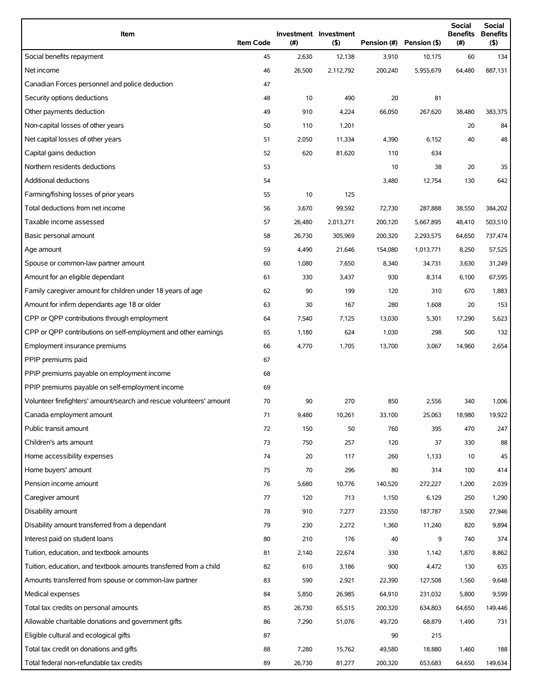| Item                                                                | <b>Item Code</b> | (#)    | Investment Investment<br>(5) | Pension (#) | Pension (\$) | <b>Social</b><br><b>Benefits</b><br>(# ) | Social<br><b>Benefits</b><br>$($ \$) |
|---------------------------------------------------------------------|------------------|--------|------------------------------|-------------|--------------|------------------------------------------|--------------------------------------|
| Social benefits repayment                                           | 45               | 2,630  | 12,138                       | 3,910       | 10,175       | 60                                       | 134                                  |
| Net income                                                          | 46               | 26,500 | 2,112,792                    | 200,240     | 5,955,679    | 64,480                                   | 887,131                              |
| Canadian Forces personnel and police deduction                      | 47               |        |                              |             |              |                                          |                                      |
| Security options deductions                                         | 48               | 10     | 490                          | 20          | 81           |                                          |                                      |
| Other payments deduction                                            | 49               | 910    | 4,224                        | 66,050      | 267,620      | 38,480                                   | 383,375                              |
| Non-capital losses of other years                                   | 50               | 110    | 1,201                        |             |              | 20                                       | 84                                   |
| Net capital losses of other years                                   | 51               | 2,050  | 11,334                       | 4,390       | 6,152        | 40                                       | 48                                   |
| Capital gains deduction                                             | 52               | 620    | 81,620                       | 110         | 634          |                                          |                                      |
| Northern residents deductions                                       | 53               |        |                              | 10          | 38           | 20                                       | 35                                   |
| Additional deductions                                               | 54               |        |                              | 3,480       | 12,754       | 130                                      | 642                                  |
| Farming/fishing losses of prior years                               | 55               | 10     | 125                          |             |              |                                          |                                      |
| Total deductions from net income                                    | 56               | 3,670  | 99,592                       | 72,730      | 287,888      | 38,550                                   | 384,202                              |
| Taxable income assessed                                             | 57               | 26,480 | 2,013,271                    | 200,120     | 5,667,895    | 48,410                                   | 503,510                              |
| Basic personal amount                                               | 58               | 26,730 | 305,969                      | 200,320     | 2,293,575    | 64,650                                   | 737,474                              |
| Age amount                                                          | 59               | 4,490  | 21,646                       | 154,080     | 1,013,771    | 8,250                                    | 57,525                               |
| Spouse or common-law partner amount                                 | 60               | 1,080  | 7,650                        | 8,340       | 34,731       | 3,630                                    | 31,249                               |
| Amount for an eligible dependant                                    | 61               | 330    | 3,437                        | 930         | 8,314        | 6,100                                    | 67,595                               |
| Family caregiver amount for children under 18 years of age          | 62               | 90     | 199                          | 120         | 310          | 670                                      | 1,883                                |
| Amount for infirm dependants age 18 or older                        | 63               | 30     | 167                          | 280         | 1,608        | 20                                       | 153                                  |
| CPP or QPP contributions through employment                         | 64               | 7,540  | 7,125                        | 13,030      | 5,301        | 17,290                                   | 5,623                                |
| CPP or QPP contributions on self-employment and other earnings      | 65               | 1,180  | 624                          | 1,030       | 298          | 500                                      | 132                                  |
| Employment insurance premiums                                       | 66               | 4,770  | 1,705                        | 13,700      | 3,067        | 14,960                                   | 2,654                                |
| PPIP premiums paid                                                  | 67               |        |                              |             |              |                                          |                                      |
| PPIP premiums payable on employment income                          | 68               |        |                              |             |              |                                          |                                      |
| PPIP premiums payable on self-employment income                     | 69               |        |                              |             |              |                                          |                                      |
| Volunteer firefighters' amount/search and rescue volunteers' amount | 70               | 90     | 270                          | 850         | 2,556        | 340                                      | 1,006                                |
| Canada employment amount                                            | 71               | 9,480  | 10,261                       | 33,100      | 25,063       | 18,980                                   | 19,922                               |
| Public transit amount                                               | 72               | 150    | 50                           | 760         | 395          | 470                                      | 247                                  |
| Children's arts amount                                              | 73               | 750    | 257                          | 120         | 37           | 330                                      | 88                                   |
| Home accessibility expenses                                         | 74               | 20     | 117                          | 260         | 1,133        | 10                                       | 45                                   |
| Home buyers' amount                                                 | 75               | 70     | 296                          | 80          | 314          | 100                                      | 414                                  |
| Pension income amount                                               | 76               | 5,680  | 10,776                       | 140,520     | 272,227      | 1,200                                    | 2,039                                |
| Caregiver amount                                                    | 77               | 120    | 713                          | 1,150       | 6,129        | 250                                      | 1,290                                |
| Disability amount                                                   | 78               | 910    | 7,277                        | 23,550      | 187,787      | 3,500                                    | 27,946                               |
| Disability amount transferred from a dependant                      | 79               | 230    | 2,272                        | 1,360       | 11,240       | 820                                      | 9,894                                |
| Interest paid on student loans                                      | 80               | 210    | 176                          | 40          | 9            | 740                                      | 374                                  |
| Tuition, education, and textbook amounts                            | 81               | 2,140  | 22,674                       | 330         | 1,142        | 1,870                                    | 8,862                                |
| Tuition, education, and textbook amounts transferred from a child   | 82               | 610    | 3,186                        | 900         | 4,472        | 130                                      | 635                                  |
| Amounts transferred from spouse or common-law partner               | 83               | 590    | 2,921                        | 22,390      | 127,508      | 1,560                                    | 9,648                                |
| Medical expenses                                                    | 84               | 5,850  | 26,985                       | 64,910      | 231,032      | 5,800                                    | 9,599                                |
| Total tax credits on personal amounts                               | 85               | 26,730 | 65,515                       | 200,320     | 634,803      | 64,650                                   | 149,446                              |
| Allowable charitable donations and government gifts                 | 86               | 7,290  | 51,076                       | 49,720      | 68,879       | 1,490                                    | 731                                  |
| Eligible cultural and ecological gifts                              | 87               |        |                              | 90          | 215          |                                          |                                      |
| Total tax credit on donations and gifts                             | 88               | 7,280  | 15,762                       | 49,580      | 18,880       | 1,460                                    | 188                                  |
| Total federal non-refundable tax credits                            | 89               | 26,730 | 81,277                       | 200,320     | 653,683      | 64,650                                   | 149,634                              |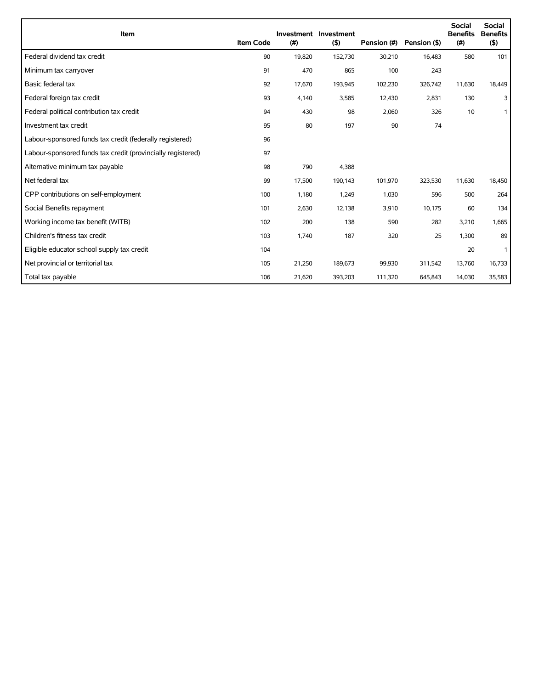| Item                                                        | <b>Item Code</b> | (#)    | <b>Investment Investment</b><br>(5) | Pension (#) | Pension (\$) | <b>Social</b><br><b>Benefits</b><br>(#) | <b>Social</b><br><b>Benefits</b><br>(5) |
|-------------------------------------------------------------|------------------|--------|-------------------------------------|-------------|--------------|-----------------------------------------|-----------------------------------------|
| Federal dividend tax credit                                 | 90               | 19,820 | 152,730                             | 30,210      | 16,483       | 580                                     | 101                                     |
| Minimum tax carryover                                       | 91               | 470    | 865                                 | 100         | 243          |                                         |                                         |
| Basic federal tax                                           | 92               | 17,670 | 193,945                             | 102,230     | 326,742      | 11,630                                  | 18,449                                  |
| Federal foreign tax credit                                  | 93               | 4,140  | 3,585                               | 12,430      | 2,831        | 130                                     | 3                                       |
| Federal political contribution tax credit                   | 94               | 430    | 98                                  | 2,060       | 326          | 10                                      | $\mathbf{1}$                            |
| Investment tax credit                                       | 95               | 80     | 197                                 | 90          | 74           |                                         |                                         |
| Labour-sponsored funds tax credit (federally registered)    | 96               |        |                                     |             |              |                                         |                                         |
| Labour-sponsored funds tax credit (provincially registered) | 97               |        |                                     |             |              |                                         |                                         |
| Alternative minimum tax payable                             | 98               | 790    | 4,388                               |             |              |                                         |                                         |
| Net federal tax                                             | 99               | 17,500 | 190,143                             | 101,970     | 323,530      | 11,630                                  | 18,450                                  |
| CPP contributions on self-employment                        | 100              | 1,180  | 1,249                               | 1,030       | 596          | 500                                     | 264                                     |
| Social Benefits repayment                                   | 101              | 2,630  | 12,138                              | 3,910       | 10,175       | 60                                      | 134                                     |
| Working income tax benefit (WITB)                           | 102              | 200    | 138                                 | 590         | 282          | 3,210                                   | 1,665                                   |
| Children's fitness tax credit                               | 103              | 1,740  | 187                                 | 320         | 25           | 1,300                                   | 89                                      |
| Eligible educator school supply tax credit                  | 104              |        |                                     |             |              | 20                                      | 1                                       |
| Net provincial or territorial tax                           | 105              | 21,250 | 189,673                             | 99,930      | 311,542      | 13,760                                  | 16,733                                  |
| Total tax payable                                           | 106              | 21,620 | 393,203                             | 111,320     | 645,843      | 14,030                                  | 35,583                                  |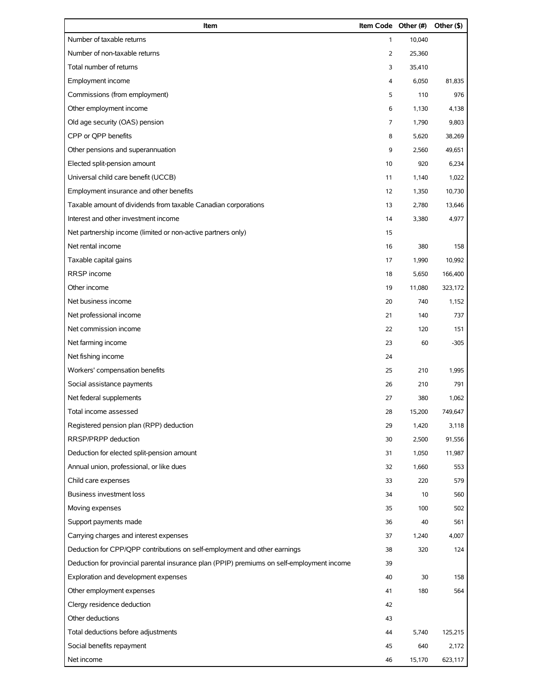| Item                                                                                       | Item Code Other (#) |        | Other (\$) |
|--------------------------------------------------------------------------------------------|---------------------|--------|------------|
| Number of taxable returns                                                                  | $\mathbf{1}$        | 10,040 |            |
| Number of non-taxable returns                                                              | 2                   | 25,360 |            |
| Total number of returns                                                                    | 3                   | 35,410 |            |
| Employment income                                                                          | 4                   | 6,050  | 81,835     |
| Commissions (from employment)                                                              | 5                   | 110    | 976        |
| Other employment income                                                                    | 6                   | 1,130  | 4,138      |
| Old age security (OAS) pension                                                             | 7                   | 1,790  | 9,803      |
| CPP or QPP benefits                                                                        | 8                   | 5,620  | 38,269     |
| Other pensions and superannuation                                                          | 9                   | 2,560  | 49,651     |
| Elected split-pension amount                                                               | 10                  | 920    | 6,234      |
| Universal child care benefit (UCCB)                                                        | 11                  | 1,140  | 1,022      |
| Employment insurance and other benefits                                                    | 12                  | 1,350  | 10,730     |
| Taxable amount of dividends from taxable Canadian corporations                             | 13                  | 2,780  | 13,646     |
| Interest and other investment income                                                       | 14                  | 3,380  | 4,977      |
| Net partnership income (limited or non-active partners only)                               | 15                  |        |            |
| Net rental income                                                                          | 16                  | 380    | 158        |
| Taxable capital gains                                                                      | 17                  | 1,990  | 10,992     |
| RRSP income                                                                                | 18                  | 5,650  | 166,400    |
| Other income                                                                               | 19                  | 11,080 | 323,172    |
| Net business income                                                                        | 20                  | 740    | 1,152      |
| Net professional income                                                                    | 21                  | 140    | 737        |
| Net commission income                                                                      | 22                  | 120    | 151        |
| Net farming income                                                                         | 23                  | 60     | $-305$     |
| Net fishing income                                                                         | 24                  |        |            |
| Workers' compensation benefits                                                             | 25                  | 210    | 1,995      |
| Social assistance payments                                                                 | 26                  | 210    | 791        |
| Net federal supplements                                                                    | 27                  | 380    | 1,062      |
| Total income assessed                                                                      | 28                  | 15,200 | 749,647    |
| Registered pension plan (RPP) deduction                                                    | 29                  | 1,420  | 3,118      |
| RRSP/PRPP deduction                                                                        | 30                  | 2,500  | 91,556     |
| Deduction for elected split-pension amount                                                 | 31                  | 1,050  | 11,987     |
| Annual union, professional, or like dues                                                   | 32                  | 1,660  | 553        |
| Child care expenses                                                                        | 33                  | 220    | 579        |
| <b>Business investment loss</b>                                                            | 34                  | 10     | 560        |
| Moving expenses                                                                            | 35                  | 100    | 502        |
| Support payments made                                                                      | 36                  | 40     | 561        |
| Carrying charges and interest expenses                                                     | 37                  | 1,240  | 4,007      |
| Deduction for CPP/QPP contributions on self-employment and other earnings                  | 38                  | 320    | 124        |
| Deduction for provincial parental insurance plan (PPIP) premiums on self-employment income | 39                  |        |            |
| Exploration and development expenses                                                       | 40                  | 30     | 158        |
| Other employment expenses                                                                  | 41                  | 180    | 564        |
| Clergy residence deduction                                                                 | 42                  |        |            |
| Other deductions                                                                           | 43                  |        |            |
| Total deductions before adjustments                                                        | 44                  | 5,740  | 125,215    |
| Social benefits repayment                                                                  | 45                  | 640    | 2,172      |
| Net income                                                                                 | 46                  | 15,170 | 623,117    |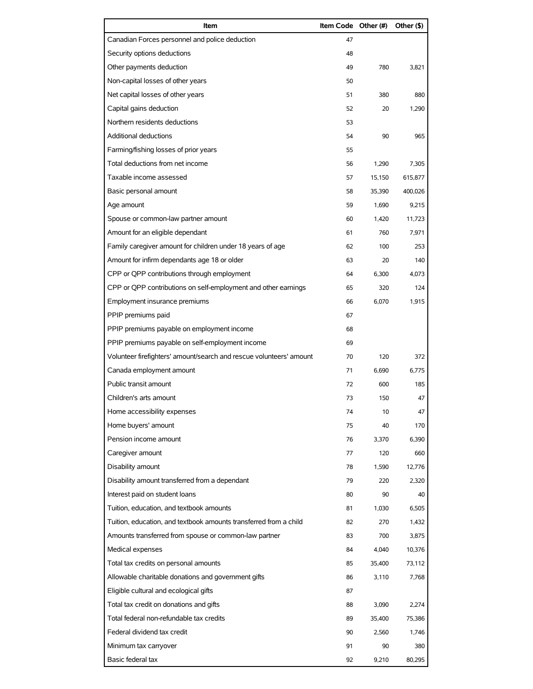| Item                                                                | Item Code Other (#) |        | Other (\$) |
|---------------------------------------------------------------------|---------------------|--------|------------|
| Canadian Forces personnel and police deduction                      | 47                  |        |            |
| Security options deductions                                         | 48                  |        |            |
| Other payments deduction                                            | 49                  | 780    | 3,821      |
| Non-capital losses of other years                                   | 50                  |        |            |
| Net capital losses of other years                                   | 51                  | 380    | 880        |
| Capital gains deduction                                             | 52                  | 20     | 1,290      |
| Northern residents deductions                                       | 53                  |        |            |
| <b>Additional deductions</b>                                        | 54                  | 90     | 965        |
| Farming/fishing losses of prior years                               | 55                  |        |            |
| Total deductions from net income                                    | 56                  | 1,290  | 7,305      |
| Taxable income assessed                                             | 57                  | 15,150 | 615,877    |
| Basic personal amount                                               | 58                  | 35,390 | 400,026    |
| Age amount                                                          | 59                  | 1,690  | 9,215      |
| Spouse or common-law partner amount                                 | 60                  | 1,420  | 11,723     |
| Amount for an eligible dependant                                    | 61                  | 760    | 7,971      |
| Family caregiver amount for children under 18 years of age          | 62                  | 100    | 253        |
| Amount for infirm dependants age 18 or older                        | 63                  | 20     | 140        |
| CPP or QPP contributions through employment                         | 64                  | 6,300  | 4,073      |
| CPP or QPP contributions on self-employment and other earnings      | 65                  | 320    | 124        |
| Employment insurance premiums                                       | 66                  | 6,070  | 1,915      |
| PPIP premiums paid                                                  | 67                  |        |            |
| PPIP premiums payable on employment income                          | 68                  |        |            |
| PPIP premiums payable on self-employment income                     | 69                  |        |            |
| Volunteer firefighters' amount/search and rescue volunteers' amount | 70                  | 120    | 372        |
| Canada employment amount                                            | 71                  | 6,690  | 6,775      |
| Public transit amount                                               | 72                  | 600    | 185        |
| Children's arts amount                                              | 73                  | 150    | 47         |
| Home accessibility expenses                                         | 74                  | 10     | 47         |
| Home buyers' amount                                                 | 75                  | 40     | 170        |
| Pension income amount                                               | 76                  | 3,370  | 6,390      |
| Caregiver amount                                                    | 77                  | 120    | 660        |
| Disability amount                                                   | 78                  | 1,590  | 12,776     |
| Disability amount transferred from a dependant                      | 79                  | 220    | 2,320      |
| Interest paid on student loans                                      | 80                  | 90     | 40         |
| Tuition, education, and textbook amounts                            | 81                  | 1,030  | 6,505      |
| Tuition, education, and textbook amounts transferred from a child   | 82                  | 270    | 1,432      |
| Amounts transferred from spouse or common-law partner               | 83                  | 700    | 3,875      |
| Medical expenses                                                    | 84                  | 4,040  | 10,376     |
| Total tax credits on personal amounts                               | 85                  | 35,400 | 73,112     |
| Allowable charitable donations and government gifts                 | 86                  | 3,110  | 7,768      |
| Eligible cultural and ecological gifts                              | 87                  |        |            |
| Total tax credit on donations and gifts                             | 88                  | 3,090  | 2,274      |
| Total federal non-refundable tax credits                            | 89                  | 35,400 | 75,386     |
| Federal dividend tax credit                                         | 90                  | 2,560  | 1,746      |
| Minimum tax carryover                                               | 91                  | 90     | 380        |
| Basic federal tax                                                   | 92                  | 9,210  | 80,295     |